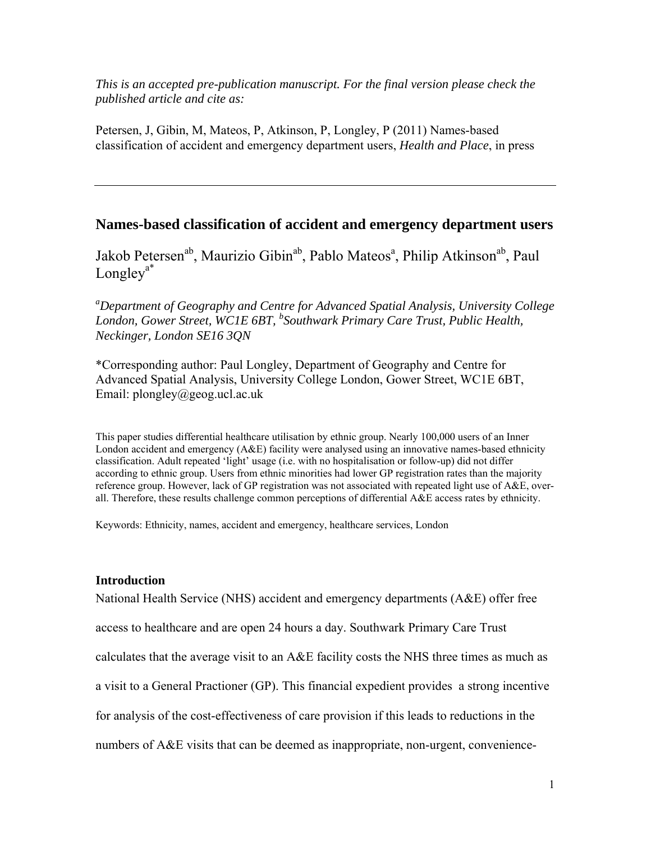*This is an accepted pre-publication manuscript. For the final version please check the published article and cite as:* 

Petersen, J, Gibin, M, Mateos, P, Atkinson, P, Longley, P (2011) Names-based classification of accident and emergency department users, *Health and Place*, in press

# **Names-based classification of accident and emergency department users**

Jakob Petersen<sup>ab</sup>, Maurizio Gibin<sup>ab</sup>, Pablo Mateos<sup>a</sup>, Philip Atkinson<sup>ab</sup>, Paul  $Longley<sup>a*</sup>$ 

*a Department of Geography and Centre for Advanced Spatial Analysis, University College London, Gower Street, WC1E 6BT, <sup>b</sup> Southwark Primary Care Trust, Public Health, Neckinger, London SE16 3QN* 

\*Corresponding author: Paul Longley, Department of Geography and Centre for Advanced Spatial Analysis, University College London, Gower Street, WC1E 6BT, Email: plongley@geog.ucl.ac.uk

This paper studies differential healthcare utilisation by ethnic group. Nearly 100,000 users of an Inner London accident and emergency (A&E) facility were analysed using an innovative names-based ethnicity classification. Adult repeated 'light' usage (i.e. with no hospitalisation or follow-up) did not differ according to ethnic group. Users from ethnic minorities had lower GP registration rates than the majority reference group. However, lack of GP registration was not associated with repeated light use of A&E, overall. Therefore, these results challenge common perceptions of differential A&E access rates by ethnicity.

Keywords: Ethnicity, names, accident and emergency, healthcare services, London

# **Introduction**

National Health Service (NHS) accident and emergency departments (A&E) offer free access to healthcare and are open 24 hours a day. Southwark Primary Care Trust calculates that the average visit to an A&E facility costs the NHS three times as much as a visit to a General Practioner (GP). This financial expedient provides a strong incentive for analysis of the cost-effectiveness of care provision if this leads to reductions in the numbers of A&E visits that can be deemed as inappropriate, non-urgent, convenience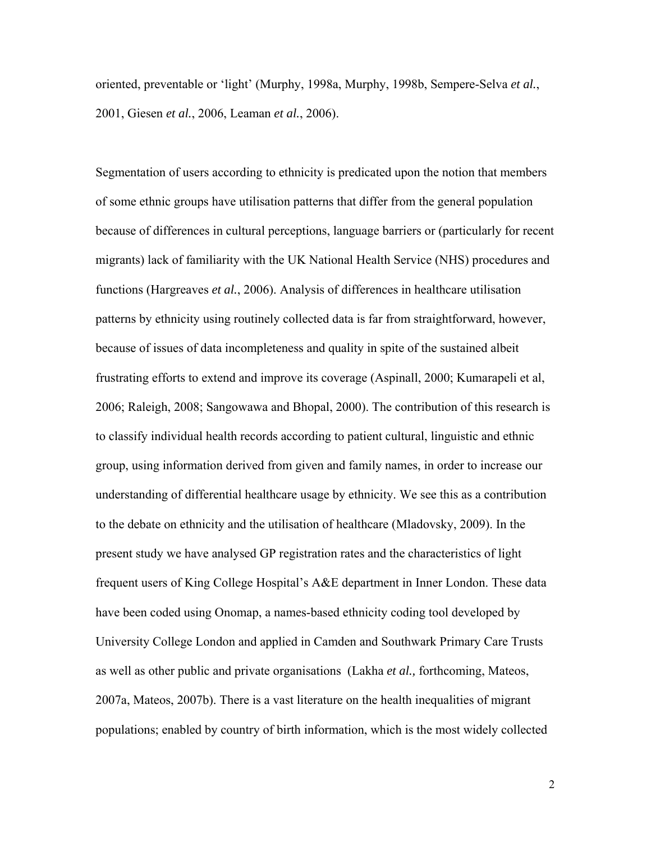oriented, preventable or 'light' (Murphy, 1998a, Murphy, 1998b, Sempere-Selva *et al.*, 2001, Giesen *et al.*, 2006, Leaman *et al.*, 2006).

Segmentation of users according to ethnicity is predicated upon the notion that members of some ethnic groups have utilisation patterns that differ from the general population because of differences in cultural perceptions, language barriers or (particularly for recent migrants) lack of familiarity with the UK National Health Service (NHS) procedures and functions (Hargreaves *et al.*, 2006). Analysis of differences in healthcare utilisation patterns by ethnicity using routinely collected data is far from straightforward, however, because of issues of data incompleteness and quality in spite of the sustained albeit frustrating efforts to extend and improve its coverage (Aspinall, 2000; Kumarapeli et al, 2006; Raleigh, 2008; Sangowawa and Bhopal, 2000). The contribution of this research is to classify individual health records according to patient cultural, linguistic and ethnic group, using information derived from given and family names, in order to increase our understanding of differential healthcare usage by ethnicity. We see this as a contribution to the debate on ethnicity and the utilisation of healthcare (Mladovsky, 2009). In the present study we have analysed GP registration rates and the characteristics of light frequent users of King College Hospital's A&E department in Inner London. These data have been coded using Onomap, a names-based ethnicity coding tool developed by University College London and applied in Camden and Southwark Primary Care Trusts as well as other public and private organisations (Lakha *et al.,* forthcoming, Mateos, 2007a, Mateos, 2007b). There is a vast literature on the health inequalities of migrant populations; enabled by country of birth information, which is the most widely collected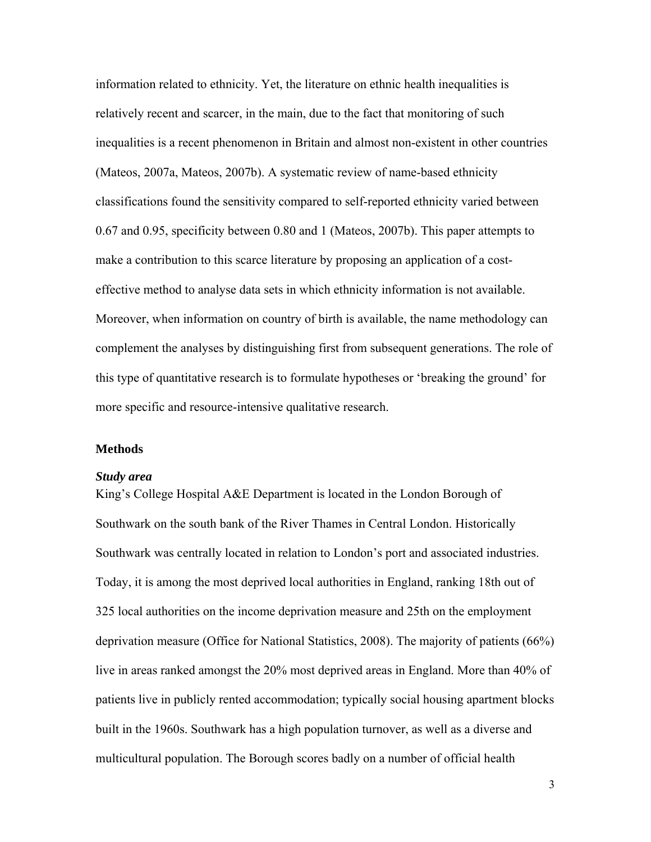information related to ethnicity. Yet, the literature on ethnic health inequalities is relatively recent and scarcer, in the main, due to the fact that monitoring of such inequalities is a recent phenomenon in Britain and almost non-existent in other countries (Mateos, 2007a, Mateos, 2007b). A systematic review of name-based ethnicity classifications found the sensitivity compared to self-reported ethnicity varied between 0.67 and 0.95, specificity between 0.80 and 1 (Mateos, 2007b). This paper attempts to make a contribution to this scarce literature by proposing an application of a costeffective method to analyse data sets in which ethnicity information is not available. Moreover, when information on country of birth is available, the name methodology can complement the analyses by distinguishing first from subsequent generations. The role of this type of quantitative research is to formulate hypotheses or 'breaking the ground' for more specific and resource-intensive qualitative research.

#### **Methods**

#### *Study area*

King's College Hospital A&E Department is located in the London Borough of Southwark on the south bank of the River Thames in Central London. Historically Southwark was centrally located in relation to London's port and associated industries. Today, it is among the most deprived local authorities in England, ranking 18th out of 325 local authorities on the income deprivation measure and 25th on the employment deprivation measure (Office for National Statistics, 2008). The majority of patients (66%) live in areas ranked amongst the 20% most deprived areas in England. More than 40% of patients live in publicly rented accommodation; typically social housing apartment blocks built in the 1960s. Southwark has a high population turnover, as well as a diverse and multicultural population. The Borough scores badly on a number of official health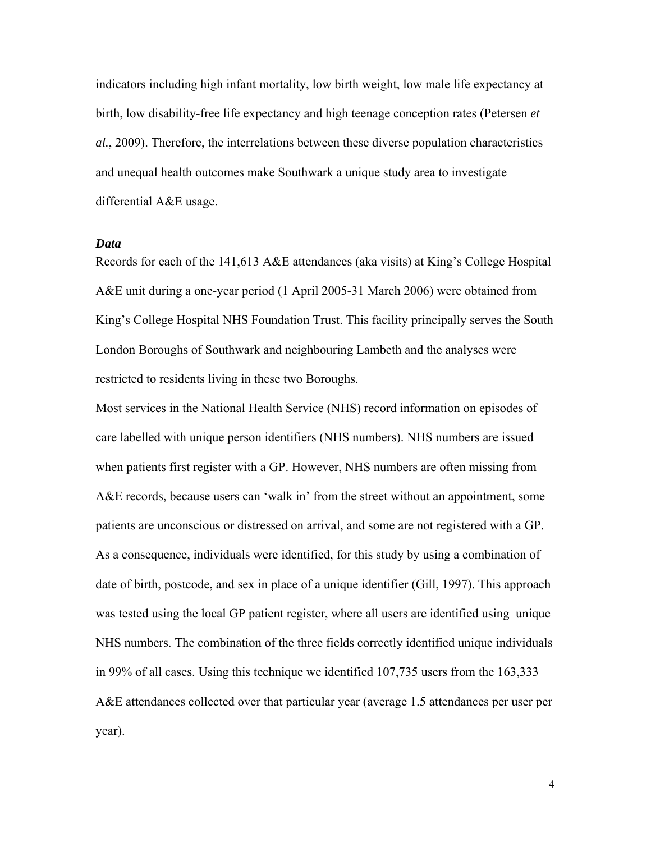indicators including high infant mortality, low birth weight, low male life expectancy at birth, low disability-free life expectancy and high teenage conception rates (Petersen *et al.*, 2009). Therefore, the interrelations between these diverse population characteristics and unequal health outcomes make Southwark a unique study area to investigate differential A&E usage.

#### *Data*

Records for each of the 141,613 A&E attendances (aka visits) at King's College Hospital A&E unit during a one-year period (1 April 2005-31 March 2006) were obtained from King's College Hospital NHS Foundation Trust. This facility principally serves the South London Boroughs of Southwark and neighbouring Lambeth and the analyses were restricted to residents living in these two Boroughs.

Most services in the National Health Service (NHS) record information on episodes of care labelled with unique person identifiers (NHS numbers). NHS numbers are issued when patients first register with a GP. However, NHS numbers are often missing from A&E records, because users can 'walk in' from the street without an appointment, some patients are unconscious or distressed on arrival, and some are not registered with a GP. As a consequence, individuals were identified, for this study by using a combination of date of birth, postcode, and sex in place of a unique identifier (Gill, 1997). This approach was tested using the local GP patient register, where all users are identified using unique NHS numbers. The combination of the three fields correctly identified unique individuals in 99% of all cases. Using this technique we identified 107,735 users from the 163,333 A&E attendances collected over that particular year (average 1.5 attendances per user per year).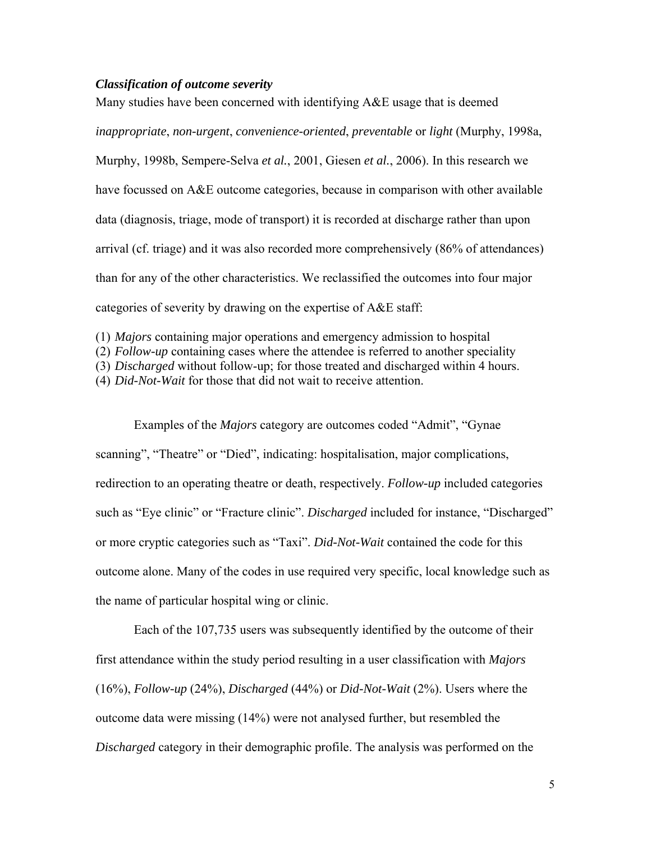### *Classification of outcome severity*

Many studies have been concerned with identifying A&E usage that is deemed *inappropriate*, *non-urgent*, *convenience-oriented*, *preventable* or *light* (Murphy, 1998a, Murphy, 1998b, Sempere-Selva *et al.*, 2001, Giesen *et al.*, 2006). In this research we have focussed on A&E outcome categories, because in comparison with other available data (diagnosis, triage, mode of transport) it is recorded at discharge rather than upon arrival (cf. triage) and it was also recorded more comprehensively (86% of attendances) than for any of the other characteristics. We reclassified the outcomes into four major categories of severity by drawing on the expertise of A&E staff:

(1) *Majors* containing major operations and emergency admission to hospital

(2) *Follow-up* containing cases where the attendee is referred to another speciality

(3) *Discharged* without follow-up; for those treated and discharged within 4 hours.

(4) *Did-Not-Wait* for those that did not wait to receive attention.

Examples of the *Majors* category are outcomes coded "Admit", "Gynae scanning", "Theatre" or "Died", indicating: hospitalisation, major complications, redirection to an operating theatre or death, respectively. *Follow-up* included categories such as "Eye clinic" or "Fracture clinic". *Discharged* included for instance, "Discharged" or more cryptic categories such as "Taxi". *Did-Not-Wait* contained the code for this outcome alone. Many of the codes in use required very specific, local knowledge such as the name of particular hospital wing or clinic.

Each of the 107,735 users was subsequently identified by the outcome of their first attendance within the study period resulting in a user classification with *Majors* (16%), *Follow-up* (24%), *Discharged* (44%) or *Did-Not-Wait* (2%). Users where the outcome data were missing (14%) were not analysed further, but resembled the *Discharged* category in their demographic profile. The analysis was performed on the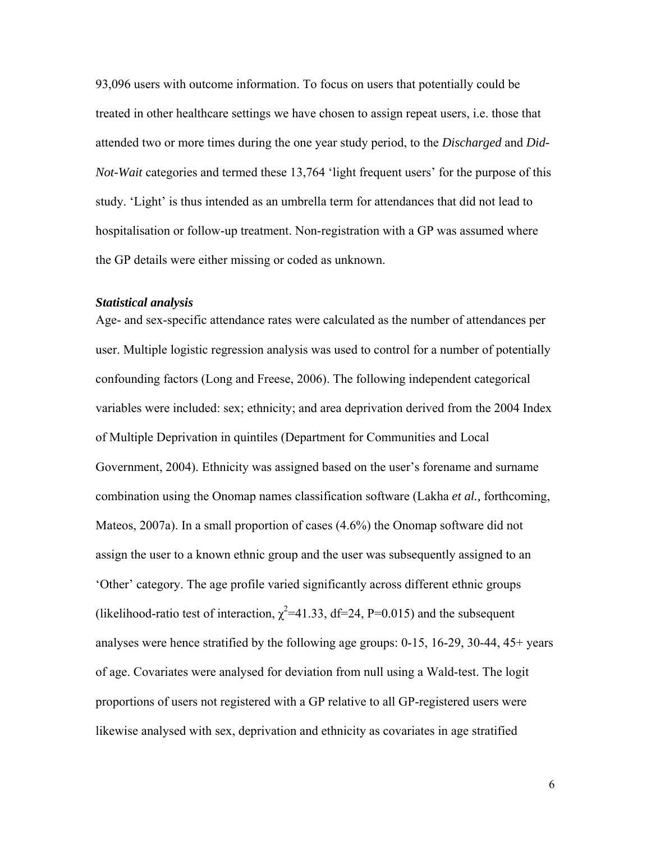93,096 users with outcome information. To focus on users that potentially could be treated in other healthcare settings we have chosen to assign repeat users, i.e. those that attended two or more times during the one year study period, to the *Discharged* and *Did-Not-Wait* categories and termed these 13,764 'light frequent users' for the purpose of this study. 'Light' is thus intended as an umbrella term for attendances that did not lead to hospitalisation or follow-up treatment. Non-registration with a GP was assumed where the GP details were either missing or coded as unknown.

#### *Statistical analysis*

Age- and sex-specific attendance rates were calculated as the number of attendances per user. Multiple logistic regression analysis was used to control for a number of potentially confounding factors (Long and Freese, 2006). The following independent categorical variables were included: sex; ethnicity; and area deprivation derived from the 2004 Index of Multiple Deprivation in quintiles (Department for Communities and Local Government, 2004). Ethnicity was assigned based on the user's forename and surname combination using the Onomap names classification software (Lakha *et al.,* forthcoming, Mateos, 2007a). In a small proportion of cases (4.6%) the Onomap software did not assign the user to a known ethnic group and the user was subsequently assigned to an 'Other' category. The age profile varied significantly across different ethnic groups (likelihood-ratio test of interaction,  $\chi^2$ =41.33, df=24, P=0.015) and the subsequent analyses were hence stratified by the following age groups: 0-15, 16-29, 30-44, 45+ years of age. Covariates were analysed for deviation from null using a Wald-test. The logit proportions of users not registered with a GP relative to all GP-registered users were likewise analysed with sex, deprivation and ethnicity as covariates in age stratified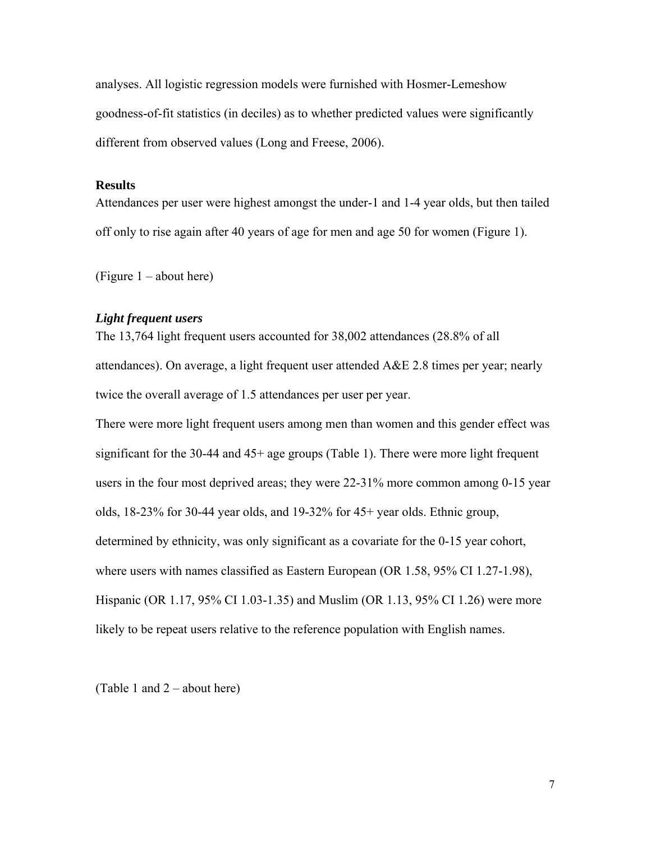analyses. All logistic regression models were furnished with Hosmer-Lemeshow goodness-of-fit statistics (in deciles) as to whether predicted values were significantly different from observed values (Long and Freese, 2006).

#### **Results**

Attendances per user were highest amongst the under-1 and 1-4 year olds, but then tailed off only to rise again after 40 years of age for men and age 50 for women (Figure 1).

(Figure 1 – about here)

## *Light frequent users*

The 13,764 light frequent users accounted for 38,002 attendances (28.8% of all attendances). On average, a light frequent user attended A&E 2.8 times per year; nearly twice the overall average of 1.5 attendances per user per year.

There were more light frequent users among men than women and this gender effect was significant for the 30-44 and 45+ age groups (Table 1). There were more light frequent users in the four most deprived areas; they were 22-31% more common among 0-15 year olds, 18-23% for 30-44 year olds, and 19-32% for 45+ year olds. Ethnic group, determined by ethnicity, was only significant as a covariate for the 0-15 year cohort, where users with names classified as Eastern European (OR 1.58, 95% CI 1.27-1.98), Hispanic (OR 1.17, 95% CI 1.03-1.35) and Muslim (OR 1.13, 95% CI 1.26) were more likely to be repeat users relative to the reference population with English names.

(Table 1 and 2 – about here)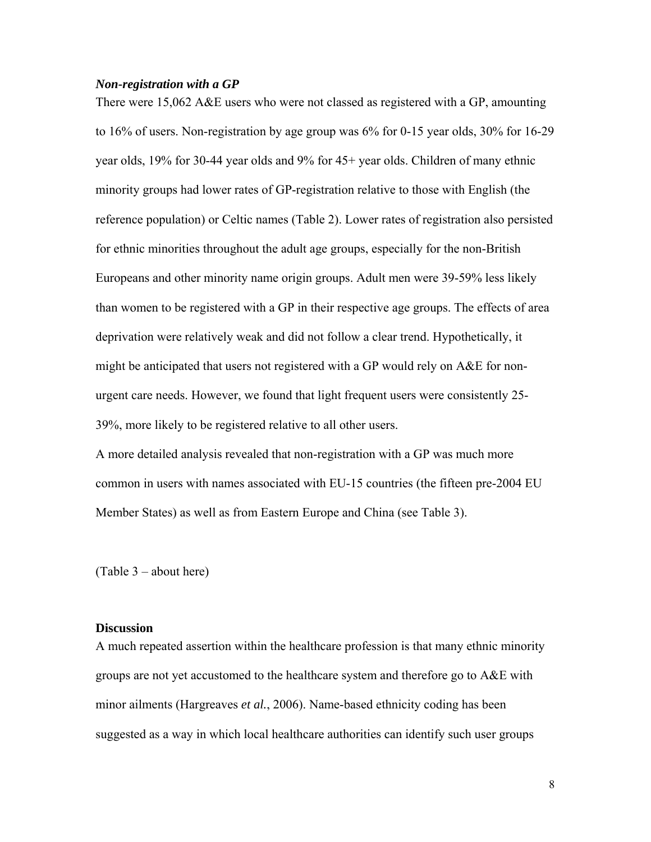### *Non-registration with a GP*

There were 15,062 A&E users who were not classed as registered with a GP, amounting to 16% of users. Non-registration by age group was 6% for 0-15 year olds, 30% for 16-29 year olds, 19% for 30-44 year olds and 9% for 45+ year olds. Children of many ethnic minority groups had lower rates of GP-registration relative to those with English (the reference population) or Celtic names (Table 2). Lower rates of registration also persisted for ethnic minorities throughout the adult age groups, especially for the non-British Europeans and other minority name origin groups. Adult men were 39-59% less likely than women to be registered with a GP in their respective age groups. The effects of area deprivation were relatively weak and did not follow a clear trend. Hypothetically, it might be anticipated that users not registered with a GP would rely on A&E for nonurgent care needs. However, we found that light frequent users were consistently 25- 39%, more likely to be registered relative to all other users.

A more detailed analysis revealed that non-registration with a GP was much more common in users with names associated with EU-15 countries (the fifteen pre-2004 EU Member States) as well as from Eastern Europe and China (see Table 3).

(Table 3 – about here)

### **Discussion**

A much repeated assertion within the healthcare profession is that many ethnic minority groups are not yet accustomed to the healthcare system and therefore go to A&E with minor ailments (Hargreaves *et al.*, 2006). Name-based ethnicity coding has been suggested as a way in which local healthcare authorities can identify such user groups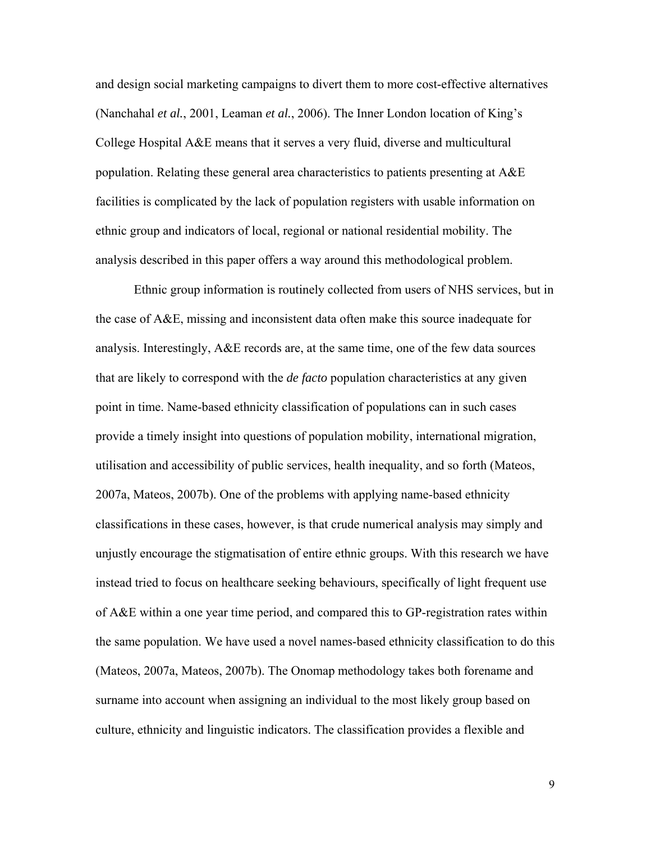and design social marketing campaigns to divert them to more cost-effective alternatives (Nanchahal *et al.*, 2001, Leaman *et al.*, 2006). The Inner London location of King's College Hospital A&E means that it serves a very fluid, diverse and multicultural population. Relating these general area characteristics to patients presenting at A&E facilities is complicated by the lack of population registers with usable information on ethnic group and indicators of local, regional or national residential mobility. The analysis described in this paper offers a way around this methodological problem.

Ethnic group information is routinely collected from users of NHS services, but in the case of A&E, missing and inconsistent data often make this source inadequate for analysis. Interestingly, A&E records are, at the same time, one of the few data sources that are likely to correspond with the *de facto* population characteristics at any given point in time. Name-based ethnicity classification of populations can in such cases provide a timely insight into questions of population mobility, international migration, utilisation and accessibility of public services, health inequality, and so forth (Mateos, 2007a, Mateos, 2007b). One of the problems with applying name-based ethnicity classifications in these cases, however, is that crude numerical analysis may simply and unjustly encourage the stigmatisation of entire ethnic groups. With this research we have instead tried to focus on healthcare seeking behaviours, specifically of light frequent use of A&E within a one year time period, and compared this to GP-registration rates within the same population. We have used a novel names-based ethnicity classification to do this (Mateos, 2007a, Mateos, 2007b). The Onomap methodology takes both forename and surname into account when assigning an individual to the most likely group based on culture, ethnicity and linguistic indicators. The classification provides a flexible and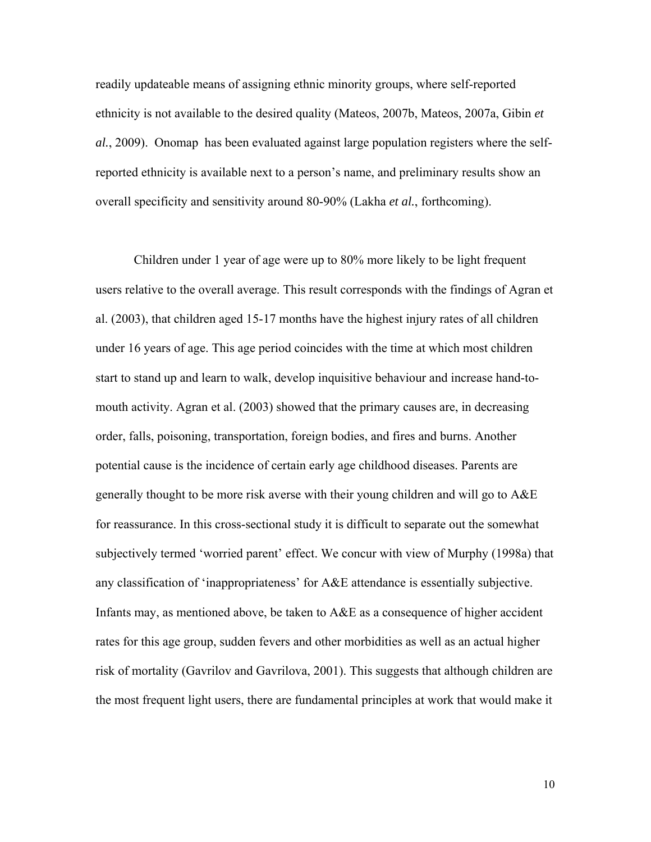readily updateable means of assigning ethnic minority groups, where self-reported ethnicity is not available to the desired quality (Mateos, 2007b, Mateos, 2007a, Gibin *et al.*, 2009). Onomap has been evaluated against large population registers where the selfreported ethnicity is available next to a person's name, and preliminary results show an overall specificity and sensitivity around 80-90% (Lakha *et al.*, forthcoming).

Children under 1 year of age were up to 80% more likely to be light frequent users relative to the overall average. This result corresponds with the findings of Agran et al. (2003), that children aged 15-17 months have the highest injury rates of all children under 16 years of age. This age period coincides with the time at which most children start to stand up and learn to walk, develop inquisitive behaviour and increase hand-tomouth activity. Agran et al. (2003) showed that the primary causes are, in decreasing order, falls, poisoning, transportation, foreign bodies, and fires and burns. Another potential cause is the incidence of certain early age childhood diseases. Parents are generally thought to be more risk averse with their young children and will go to A&E for reassurance. In this cross-sectional study it is difficult to separate out the somewhat subjectively termed 'worried parent' effect. We concur with view of Murphy (1998a) that any classification of 'inappropriateness' for A&E attendance is essentially subjective. Infants may, as mentioned above, be taken to A&E as a consequence of higher accident rates for this age group, sudden fevers and other morbidities as well as an actual higher risk of mortality (Gavrilov and Gavrilova, 2001). This suggests that although children are the most frequent light users, there are fundamental principles at work that would make it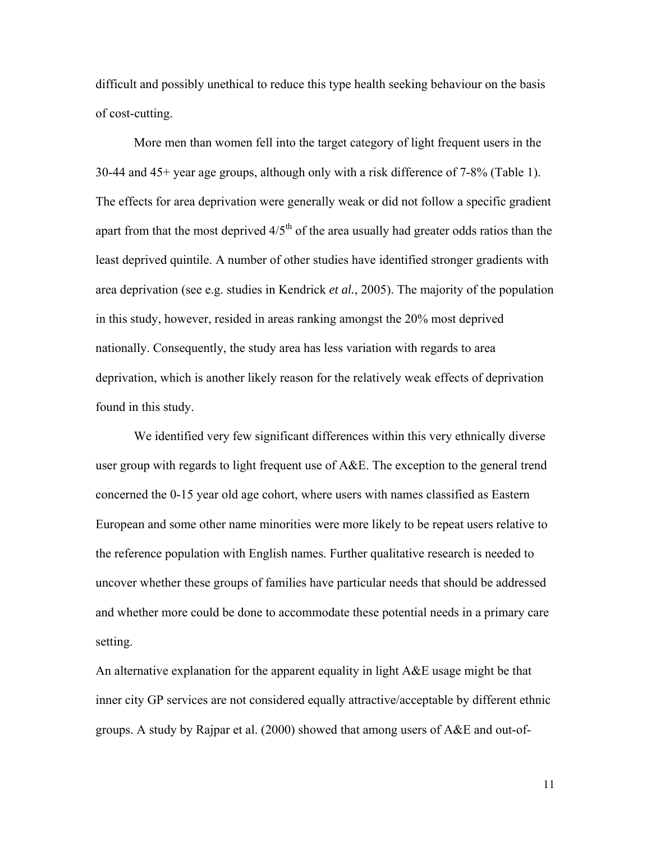difficult and possibly unethical to reduce this type health seeking behaviour on the basis of cost-cutting.

More men than women fell into the target category of light frequent users in the 30-44 and 45+ year age groups, although only with a risk difference of 7-8% (Table 1). The effects for area deprivation were generally weak or did not follow a specific gradient apart from that the most deprived  $4/5<sup>th</sup>$  of the area usually had greater odds ratios than the least deprived quintile. A number of other studies have identified stronger gradients with area deprivation (see e.g. studies in Kendrick *et al.*, 2005). The majority of the population in this study, however, resided in areas ranking amongst the 20% most deprived nationally. Consequently, the study area has less variation with regards to area deprivation, which is another likely reason for the relatively weak effects of deprivation found in this study.

We identified very few significant differences within this very ethnically diverse user group with regards to light frequent use of A&E. The exception to the general trend concerned the 0-15 year old age cohort, where users with names classified as Eastern European and some other name minorities were more likely to be repeat users relative to the reference population with English names. Further qualitative research is needed to uncover whether these groups of families have particular needs that should be addressed and whether more could be done to accommodate these potential needs in a primary care setting.

An alternative explanation for the apparent equality in light A&E usage might be that inner city GP services are not considered equally attractive/acceptable by different ethnic groups. A study by Rajpar et al. (2000) showed that among users of A&E and out-of-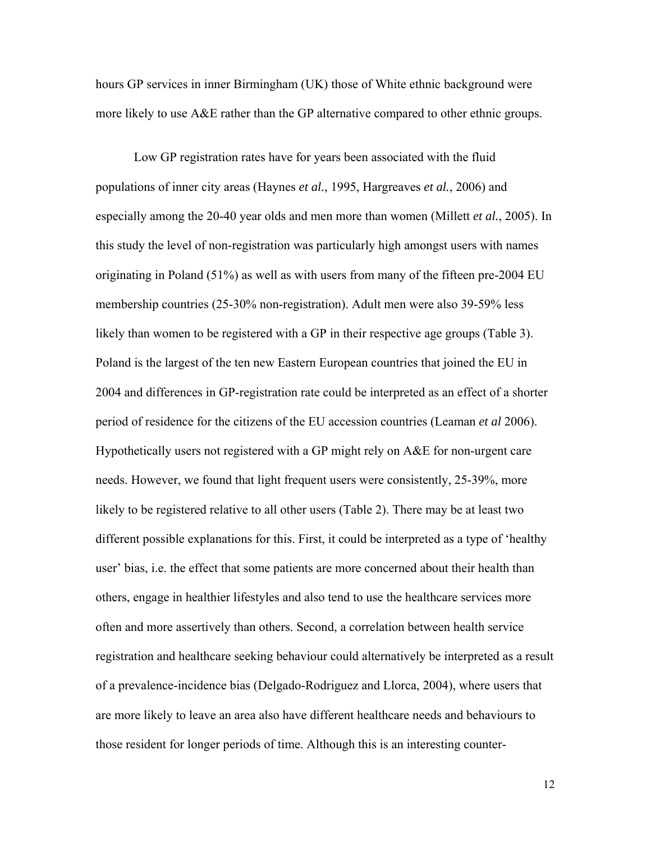hours GP services in inner Birmingham (UK) those of White ethnic background were more likely to use A&E rather than the GP alternative compared to other ethnic groups.

Low GP registration rates have for years been associated with the fluid populations of inner city areas (Haynes *et al.*, 1995, Hargreaves *et al.*, 2006) and especially among the 20-40 year olds and men more than women (Millett *et al.*, 2005). In this study the level of non-registration was particularly high amongst users with names originating in Poland (51%) as well as with users from many of the fifteen pre-2004 EU membership countries (25-30% non-registration). Adult men were also 39-59% less likely than women to be registered with a GP in their respective age groups (Table 3). Poland is the largest of the ten new Eastern European countries that joined the EU in 2004 and differences in GP-registration rate could be interpreted as an effect of a shorter period of residence for the citizens of the EU accession countries (Leaman *et al* 2006). Hypothetically users not registered with a GP might rely on A&E for non-urgent care needs. However, we found that light frequent users were consistently, 25-39%, more likely to be registered relative to all other users (Table 2). There may be at least two different possible explanations for this. First, it could be interpreted as a type of 'healthy user' bias, i.e. the effect that some patients are more concerned about their health than others, engage in healthier lifestyles and also tend to use the healthcare services more often and more assertively than others. Second, a correlation between health service registration and healthcare seeking behaviour could alternatively be interpreted as a result of a prevalence-incidence bias (Delgado-Rodriguez and Llorca, 2004), where users that are more likely to leave an area also have different healthcare needs and behaviours to those resident for longer periods of time. Although this is an interesting counter-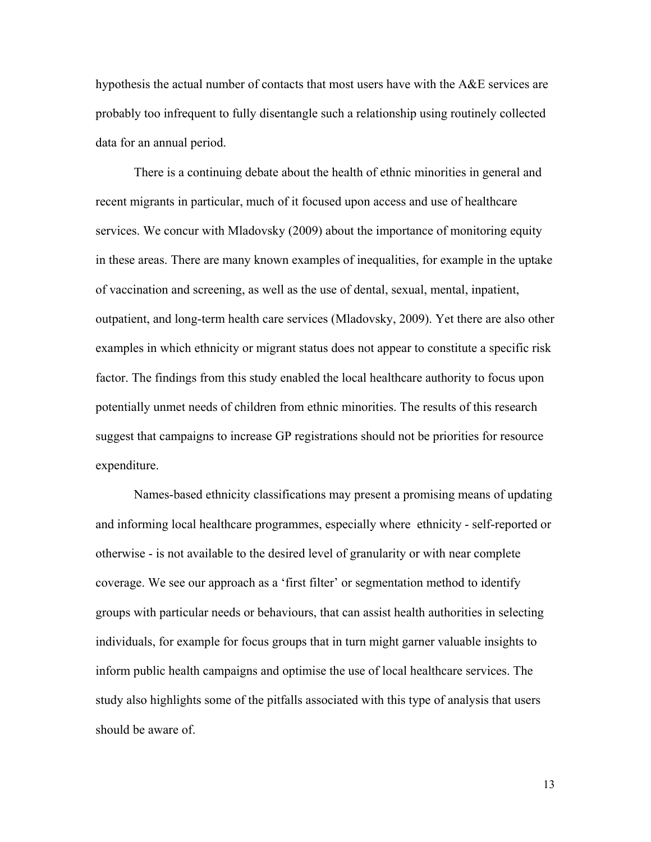hypothesis the actual number of contacts that most users have with the  $A\&E$  services are probably too infrequent to fully disentangle such a relationship using routinely collected data for an annual period.

There is a continuing debate about the health of ethnic minorities in general and recent migrants in particular, much of it focused upon access and use of healthcare services. We concur with Mladovsky (2009) about the importance of monitoring equity in these areas. There are many known examples of inequalities, for example in the uptake of vaccination and screening, as well as the use of dental, sexual, mental, inpatient, outpatient, and long-term health care services (Mladovsky, 2009). Yet there are also other examples in which ethnicity or migrant status does not appear to constitute a specific risk factor. The findings from this study enabled the local healthcare authority to focus upon potentially unmet needs of children from ethnic minorities. The results of this research suggest that campaigns to increase GP registrations should not be priorities for resource expenditure.

Names-based ethnicity classifications may present a promising means of updating and informing local healthcare programmes, especially where ethnicity - self-reported or otherwise - is not available to the desired level of granularity or with near complete coverage. We see our approach as a 'first filter' or segmentation method to identify groups with particular needs or behaviours, that can assist health authorities in selecting individuals, for example for focus groups that in turn might garner valuable insights to inform public health campaigns and optimise the use of local healthcare services. The study also highlights some of the pitfalls associated with this type of analysis that users should be aware of.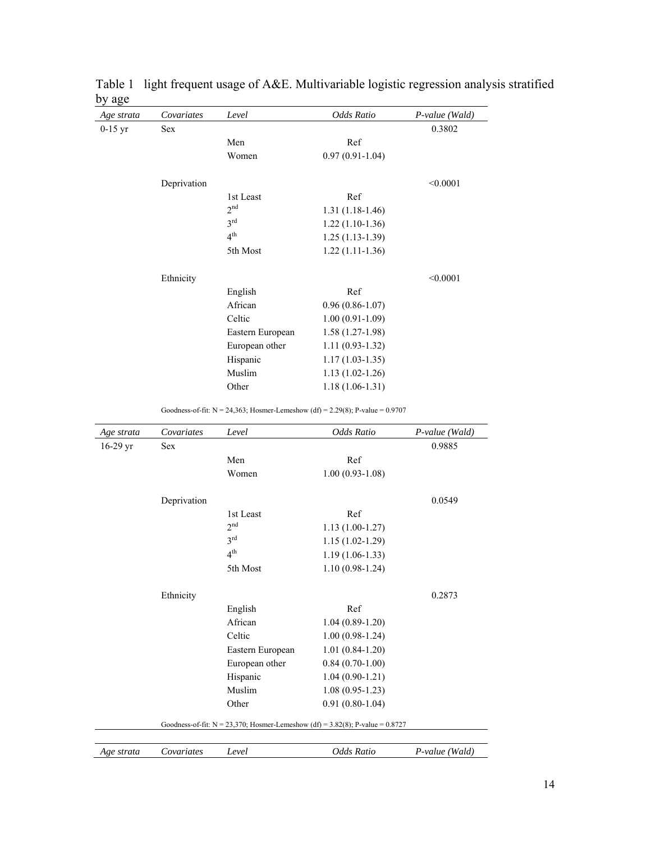| Age strata | Covariates                                                                       | Level            | Odds Ratio          | P-value (Wald) |  |  |
|------------|----------------------------------------------------------------------------------|------------------|---------------------|----------------|--|--|
| $0-15$ yr  | <b>Sex</b>                                                                       |                  |                     | 0.3802         |  |  |
|            |                                                                                  | Men              | Ref                 |                |  |  |
|            |                                                                                  | Women            | $0.97(0.91 - 1.04)$ |                |  |  |
|            | Deprivation                                                                      |                  |                     | < 0.0001       |  |  |
|            |                                                                                  | 1st Least        | Ref                 |                |  |  |
|            |                                                                                  | 2 <sup>nd</sup>  | $1.31(1.18-1.46)$   |                |  |  |
|            |                                                                                  | 3 <sup>rd</sup>  | $1.22(1.10-1.36)$   |                |  |  |
|            |                                                                                  | 4 <sup>th</sup>  | $1.25(1.13-1.39)$   |                |  |  |
|            |                                                                                  | 5th Most         | $1.22(1.11-1.36)$   |                |  |  |
|            |                                                                                  |                  |                     |                |  |  |
|            | Ethnicity                                                                        |                  | Ref                 | < 0.0001       |  |  |
|            |                                                                                  | English          |                     |                |  |  |
|            |                                                                                  | African          | $0.96(0.86-1.07)$   |                |  |  |
|            |                                                                                  | Celtic           | $1.00(0.91-1.09)$   |                |  |  |
|            |                                                                                  | Eastern European | $1.58(1.27-1.98)$   |                |  |  |
|            |                                                                                  | European other   | $1.11(0.93-1.32)$   |                |  |  |
|            |                                                                                  | Hispanic         | $1.17(1.03-1.35)$   |                |  |  |
|            |                                                                                  | Muslim           | $1.13(1.02-1.26)$   |                |  |  |
|            |                                                                                  | Other            | $1.18(1.06-1.31)$   |                |  |  |
|            | Goodness-of-fit: $N = 24,363$ ; Hosmer-Lemeshow (df) = 2.29(8); P-value = 0.9707 |                  |                     |                |  |  |
| Age strata | Covariates                                                                       | Level            | Odds Ratio          | P-value (Wald) |  |  |
| 16-29 yr   | <b>Sex</b>                                                                       |                  |                     | 0.9885         |  |  |
|            |                                                                                  | Men              | Ref                 |                |  |  |
|            |                                                                                  | Women            | $1.00(0.93-1.08)$   |                |  |  |
|            | Deprivation                                                                      |                  |                     | 0.0549         |  |  |
|            |                                                                                  | 1st Least        | Ref                 |                |  |  |
|            |                                                                                  | 2 <sup>nd</sup>  | $1.13(1.00-1.27)$   |                |  |  |
|            |                                                                                  | 3 <sup>rd</sup>  | $1.15(1.02-1.29)$   |                |  |  |
|            |                                                                                  | 4 <sup>th</sup>  | $1.19(1.06-1.33)$   |                |  |  |
|            |                                                                                  | 5th Most         | $1.10(0.98-1.24)$   |                |  |  |
|            | Ethnicity                                                                        |                  |                     | 0.2873         |  |  |
|            |                                                                                  | English          | Ref                 |                |  |  |
|            |                                                                                  | African          | $1.04(0.89-1.20)$   |                |  |  |
|            |                                                                                  | Celtic           | $1.00(0.98-1.24)$   |                |  |  |
|            |                                                                                  | Eastern European | $1.01(0.84-1.20)$   |                |  |  |
|            |                                                                                  | European other   | $0.84(0.70-1.00)$   |                |  |  |
|            |                                                                                  | Hispanic         | $1.04(0.90-1.21)$   |                |  |  |
|            |                                                                                  | Muslim           | $1.08(0.95-1.23)$   |                |  |  |
|            |                                                                                  | Other            | $0.91(0.80-1.04)$   |                |  |  |
|            | Goodness-of-fit: $N = 23,370$ ; Hosmer-Lemeshow (df) = 3.82(8); P-value = 0.8727 |                  |                     |                |  |  |
|            |                                                                                  |                  |                     |                |  |  |
| Age strata | Covariates                                                                       | Level            | Odds Ratio          | P-value (Wald) |  |  |

|        | Table 1 light frequent usage of A&E. Multivariable logistic regression analysis stratified |  |  |
|--------|--------------------------------------------------------------------------------------------|--|--|
| by age |                                                                                            |  |  |

14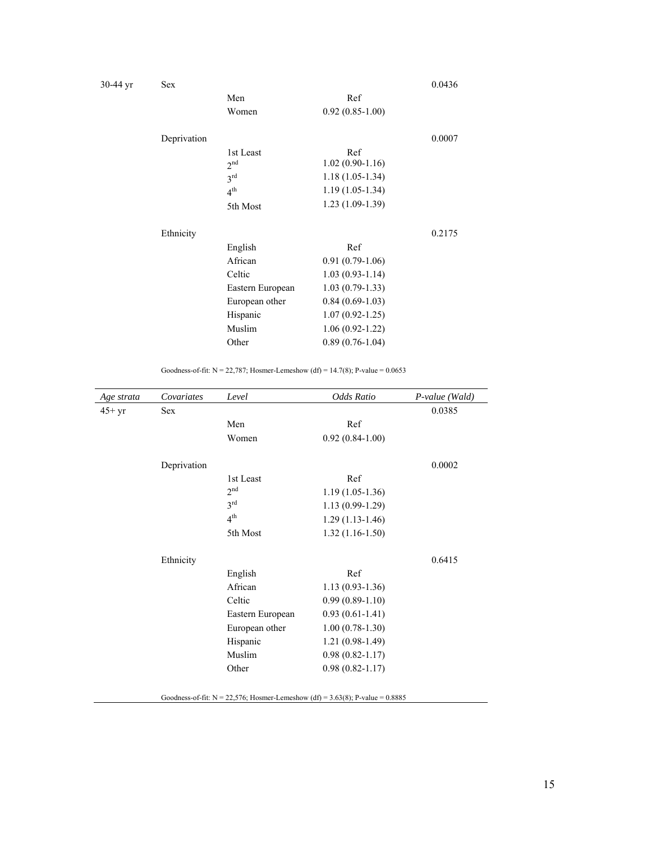| 30-44 yr | <b>Sex</b>  |                  |                     | 0.0436 |
|----------|-------------|------------------|---------------------|--------|
|          |             | Men              | Ref                 |        |
|          |             | Women            | $0.92(0.85-1.00)$   |        |
|          | Deprivation |                  |                     | 0.0007 |
|          |             | 1st Least        | Ref                 |        |
|          |             | 2 <sup>nd</sup>  | $1.02(0.90-1.16)$   |        |
|          |             | 3 <sup>rd</sup>  | $1.18(1.05-1.34)$   |        |
|          |             | 4 <sup>th</sup>  | $1.19(1.05-1.34)$   |        |
|          |             | 5th Most         | $1.23(1.09-1.39)$   |        |
|          | Ethnicity   |                  |                     | 0.2175 |
|          |             | English          | Ref                 |        |
|          |             | African          | $0.91(0.79-1.06)$   |        |
|          |             | Celtic           | $1.03(0.93-1.14)$   |        |
|          |             | Eastern European | $1.03(0.79-1.33)$   |        |
|          |             | European other   | $0.84(0.69-1.03)$   |        |
|          |             | Hispanic         | $1.07(0.92 - 1.25)$ |        |
|          |             | Muslim           | $1.06(0.92 - 1.22)$ |        |
|          |             | Other            | $0.89(0.76-1.04)$   |        |
|          |             |                  |                     |        |

Goodness-of-fit:  $N = 22,787$ ; Hosmer-Lemeshow (df) = 14.7(8); P-value = 0.0653

| Age strata | Covariates  | Level            | Odds Ratio          | P-value (Wald) |
|------------|-------------|------------------|---------------------|----------------|
| $45+yr$    | Sex         |                  |                     | 0.0385         |
|            |             | Men              | Ref                 |                |
|            |             | Women            | $0.92(0.84-1.00)$   |                |
|            | Deprivation |                  |                     | 0.0002         |
|            |             | 1st Least        | Ref                 |                |
|            |             | 2 <sup>nd</sup>  | $1.19(1.05-1.36)$   |                |
|            |             | 3 <sup>rd</sup>  | $1.13(0.99-1.29)$   |                |
|            |             | 4 <sup>th</sup>  | $1.29(1.13-1.46)$   |                |
|            |             | 5th Most         | $1.32(1.16-1.50)$   |                |
|            | Ethnicity   |                  |                     | 0.6415         |
|            |             | English          | Ref                 |                |
|            |             | African          | $1.13(0.93-1.36)$   |                |
|            |             | Celtic           | $0.99(0.89-1.10)$   |                |
|            |             | Eastern European | $0.93(0.61-1.41)$   |                |
|            |             | European other   | $1.00(0.78-1.30)$   |                |
|            |             | Hispanic         | $1.21(0.98-1.49)$   |                |
|            |             | Muslim           | $0.98(0.82 - 1.17)$ |                |
|            |             | Other            | $0.98(0.82 - 1.17)$ |                |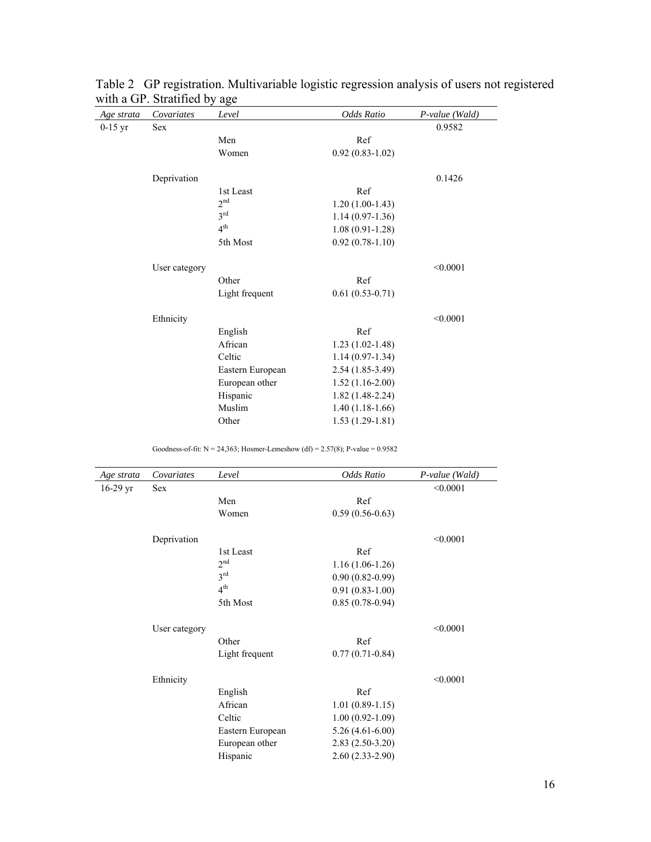| Age strata | Covariates    | Level            | Odds Ratio          | P-value (Wald) |
|------------|---------------|------------------|---------------------|----------------|
| $0-15$ yr  | Sex           |                  |                     | 0.9582         |
|            |               | Men              | Ref                 |                |
|            |               | Women            | $0.92(0.83 - 1.02)$ |                |
|            | Deprivation   |                  |                     | 0.1426         |
|            |               | 1st Least        | Ref                 |                |
|            |               | 2 <sup>nd</sup>  | $1.20(1.00-1.43)$   |                |
|            |               | 3 <sup>rd</sup>  | $1.14(0.97-1.36)$   |                |
|            |               | 4 <sup>th</sup>  | $1.08(0.91-1.28)$   |                |
|            |               | 5th Most         | $0.92(0.78-1.10)$   |                |
|            | User category |                  |                     | < 0.0001       |
|            |               | Other            | Ref                 |                |
|            |               | Light frequent   | $0.61(0.53-0.71)$   |                |
|            | Ethnicity     |                  |                     | < 0.0001       |
|            |               | English          | Ref                 |                |
|            |               | African          | $1.23(1.02-1.48)$   |                |
|            |               | Celtic           | $1.14(0.97-1.34)$   |                |
|            |               | Eastern European | $2.54(1.85-3.49)$   |                |
|            |               | European other   | $1.52(1.16-2.00)$   |                |
|            |               | Hispanic         | $1.82(1.48-2.24)$   |                |
|            |               | Muslim           | $1.40(1.18-1.66)$   |                |
|            |               | Other            | $1.53(1.29-1.81)$   |                |
|            |               |                  |                     |                |

Table 2 GP registration. Multivariable logistic regression analysis of users not registered with a GP. Stratified by age

Goodness-of-fit:  $N = 24,363$ ; Hosmer-Lemeshow (df) = 2.57(8); P-value = 0.9582

| Age strata | Covariates    | Level            | Odds Ratio          | $P$ -value (Wald) |
|------------|---------------|------------------|---------------------|-------------------|
| $16-29$ yr | Sex           |                  |                     |                   |
|            |               | Men              | Ref                 |                   |
|            |               | Women            | $0.59(0.56-0.63)$   |                   |
|            | Deprivation   |                  |                     | < 0.0001          |
|            |               | 1st Least        | Ref                 |                   |
|            |               | 2 <sup>nd</sup>  | $1.16(1.06-1.26)$   |                   |
|            |               | 3 <sup>rd</sup>  | $0.90(0.82-0.99)$   |                   |
|            |               | 4 <sup>th</sup>  | $0.91(0.83-1.00)$   |                   |
|            |               | 5th Most         | $0.85(0.78-0.94)$   |                   |
|            | User category |                  |                     | < 0.0001          |
|            |               | Other            | Ref                 |                   |
|            |               | Light frequent   | $0.77(0.71-0.84)$   |                   |
|            | Ethnicity     |                  |                     | < 0.0001          |
|            |               | English          | Ref                 |                   |
|            |               | African          | $1.01(0.89-1.15)$   |                   |
|            |               | Celtic           | $1.00(0.92 - 1.09)$ |                   |
|            |               | Eastern European | $5.26(4.61-6.00)$   |                   |
|            |               | European other   | $2.83(2.50-3.20)$   |                   |
|            |               | Hispanic         | $2.60(2.33-2.90)$   |                   |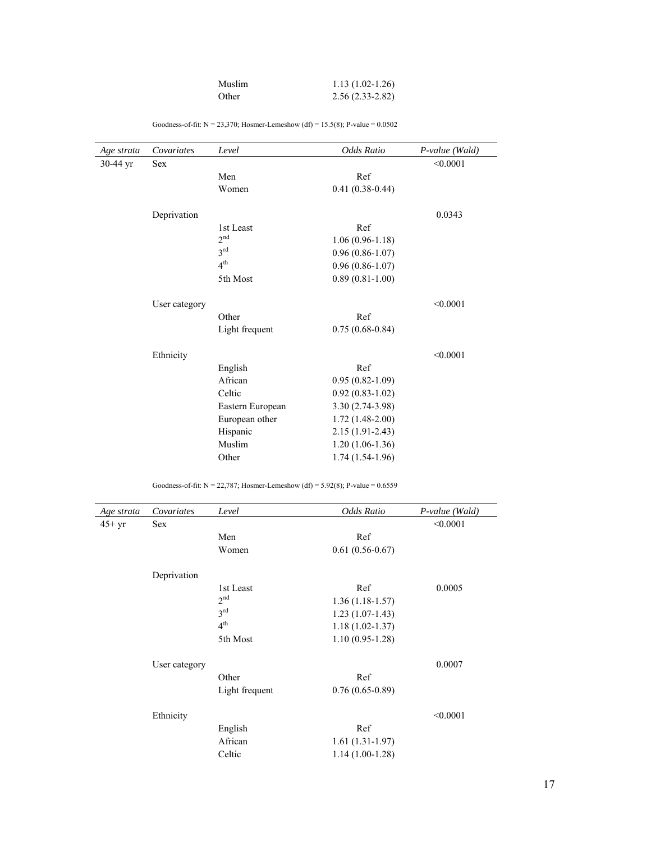| Muslim | $1.13(1.02-1.26)$   |
|--------|---------------------|
| Other  | $2.56(2.33 - 2.82)$ |

| Age strata | Covariates    | Level            | Odds Ratio          | $P$ -value (Wald) |
|------------|---------------|------------------|---------------------|-------------------|
| 30-44 yr   | <b>Sex</b>    |                  |                     | < 0.0001          |
|            |               | Men              | Ref                 |                   |
|            |               | Women            | $0.41(0.38-0.44)$   |                   |
|            | Deprivation   |                  |                     | 0.0343            |
|            |               | 1st Least        | Ref                 |                   |
|            |               | 2 <sup>nd</sup>  | $1.06(0.96-1.18)$   |                   |
|            |               | 3 <sup>rd</sup>  | $0.96(0.86-1.07)$   |                   |
|            |               | 4 <sup>th</sup>  | $0.96(0.86-1.07)$   |                   |
|            |               | 5th Most         | $0.89(0.81-1.00)$   |                   |
|            | User category |                  |                     | < 0.0001          |
|            |               | Other            | Ref                 |                   |
|            |               | Light frequent   | $0.75(0.68-0.84)$   |                   |
|            | Ethnicity     |                  |                     | < 0.0001          |
|            |               | English          | Ref                 |                   |
|            |               | African          | $0.95(0.82 - 1.09)$ |                   |
|            |               | Celtic           | $0.92(0.83-1.02)$   |                   |
|            |               | Eastern European | 3.30 (2.74-3.98)    |                   |
|            |               | European other   | $1.72(1.48-2.00)$   |                   |
|            |               | Hispanic         | $2.15(1.91 - 2.43)$ |                   |
|            |               | Muslim           | $1.20(1.06-1.36)$   |                   |
|            |               | Other            | $1.74(1.54-1.96)$   |                   |

Goodness-of-fit:  $N = 23,370$ ; Hosmer-Lemeshow (df) = 15.5(8); P-value = 0.0502

Goodness-of-fit:  $N = 22,787$ ; Hosmer-Lemeshow (df) = 5.92(8); P-value = 0.6559

| Covariates    | Level           | Odds Ratio          | $P$ -value (Wald) |
|---------------|-----------------|---------------------|-------------------|
| <b>Sex</b>    |                 |                     | < 0.0001          |
|               | Men             | Ref                 |                   |
|               | Women           | $0.61(0.56-0.67)$   |                   |
| Deprivation   |                 |                     |                   |
|               | 1st Least       | Ref                 | 0.0005            |
|               | 2 <sup>nd</sup> | $1.36(1.18-1.57)$   |                   |
|               | 3 <sup>rd</sup> | $1.23(1.07-1.43)$   |                   |
|               | 4 <sup>th</sup> | $1.18(1.02 - 1.37)$ |                   |
|               | 5th Most        | $1.10(0.95-1.28)$   |                   |
| User category |                 |                     | 0.0007            |
|               | Other           | Ref                 |                   |
|               | Light frequent  | $0.76(0.65-0.89)$   |                   |
| Ethnicity     |                 |                     | < 0.0001          |
|               | English         | Ref                 |                   |
|               | African         | $1.61(1.31-1.97)$   |                   |
|               | Celtic          | $1.14(1.00-1.28)$   |                   |
|               |                 |                     |                   |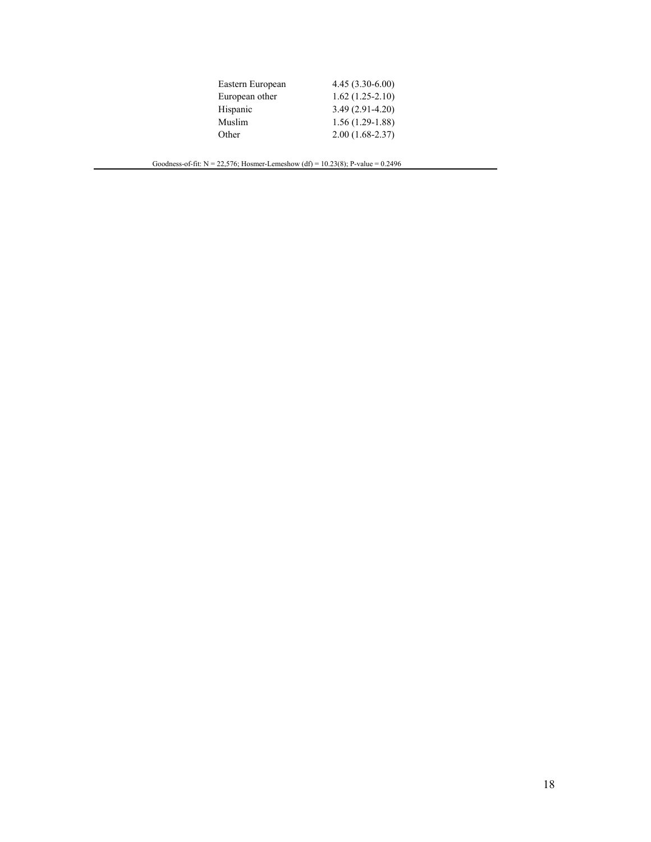| Eastern European | $4.45(3.30-6.00)$ |
|------------------|-------------------|
| European other   | $1.62(1.25-2.10)$ |
| Hispanic         | $3.49(2.91-4.20)$ |
| Muslim           | $1.56(1.29-1.88)$ |
| Other            | $2.00(1.68-2.37)$ |

Goodness-of-fit:  $N = 22,576$ ; Hosmer-Lemeshow (df) = 10.23(8); P-value = 0.2496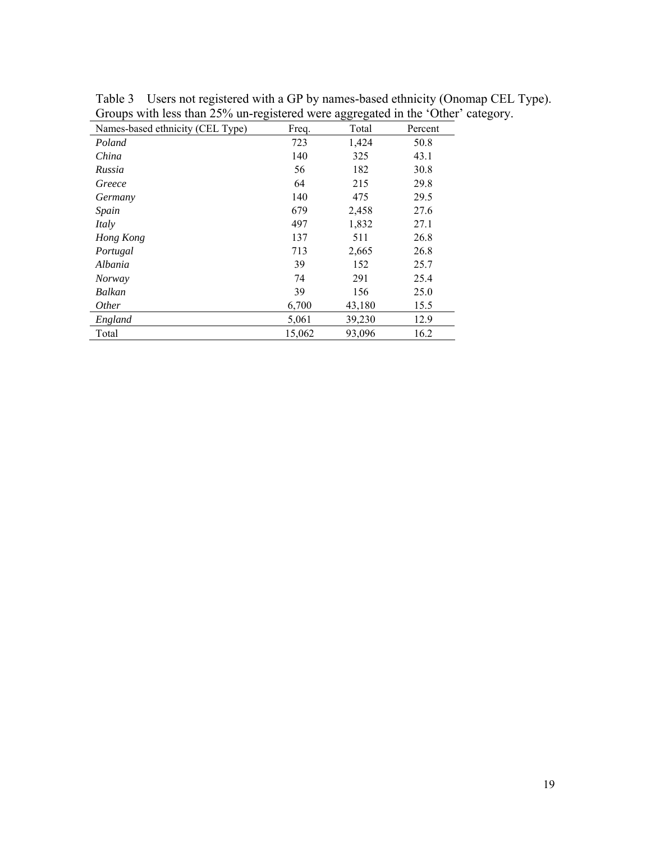| Names-based ethnicity (CEL Type) | Freq.  | Total  | Percent |
|----------------------------------|--------|--------|---------|
| Poland                           | 723    | 1,424  | 50.8    |
| China                            | 140    | 325    | 43.1    |
| Russia                           | 56     | 182    | 30.8    |
| Greece                           | 64     | 215    | 29.8    |
| Germany                          | 140    | 475    | 29.5    |
| Spain                            | 679    | 2,458  | 27.6    |
| Italy                            | 497    | 1,832  | 27.1    |
| Hong Kong                        | 137    | 511    | 26.8    |
| Portugal                         | 713    | 2,665  | 26.8    |
| Albania                          | 39     | 152    | 25.7    |
| <b>Norway</b>                    | 74     | 291    | 25.4    |
| Balkan                           | 39     | 156    | 25.0    |
| <i>Other</i>                     | 6,700  | 43,180 | 15.5    |
| England                          | 5,061  | 39,230 | 12.9    |
| Total                            | 15,062 | 93,096 | 16.2    |

Table 3 Users not registered with a GP by names-based ethnicity (Onomap CEL Type). Groups with less than 25% un-registered were aggregated in the 'Other' category.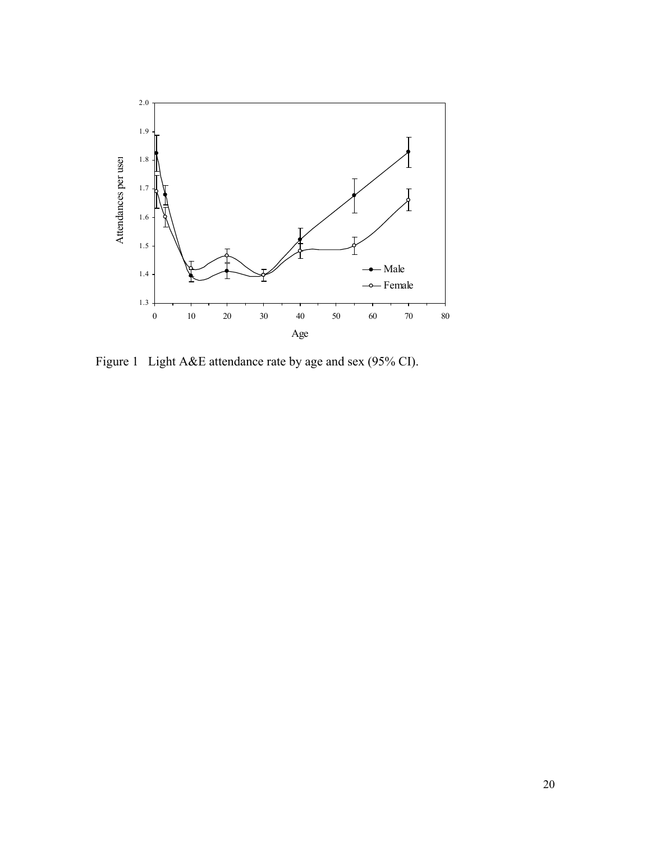

Figure 1 Light A&E attendance rate by age and sex (95% CI).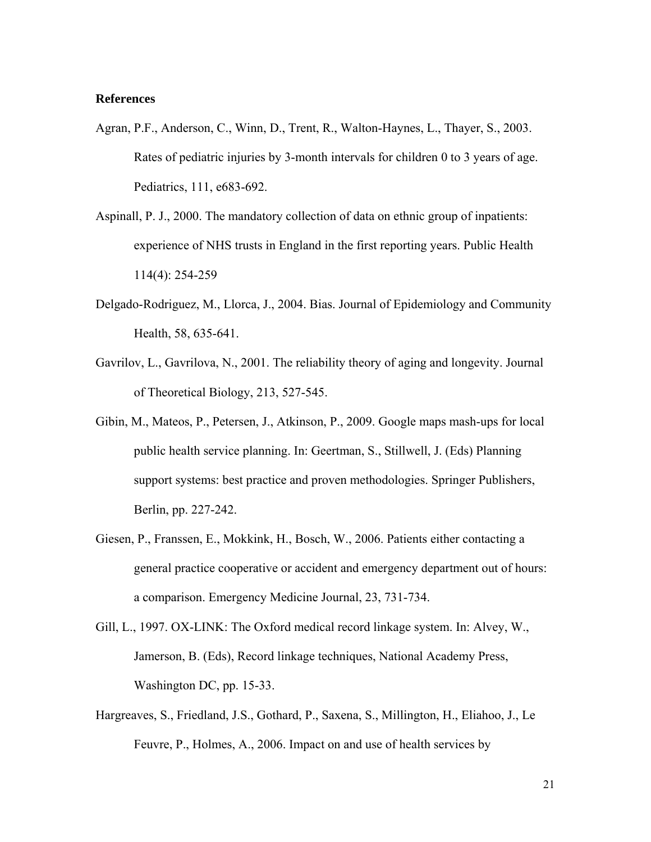## **References**

- Agran, P.F., Anderson, C., Winn, D., Trent, R., Walton-Haynes, L., Thayer, S., 2003. Rates of pediatric injuries by 3-month intervals for children 0 to 3 years of age. Pediatrics, 111, e683-692.
- Aspinall, P. J., 2000. The mandatory collection of data on ethnic group of inpatients: experience of NHS trusts in England in the first reporting years. Public Health 114(4): 254-259
- Delgado-Rodriguez, M., Llorca, J., 2004. Bias. Journal of Epidemiology and Community Health, 58, 635-641.
- Gavrilov, L., Gavrilova, N., 2001. The reliability theory of aging and longevity. Journal of Theoretical Biology, 213, 527-545.
- Gibin, M., Mateos, P., Petersen, J., Atkinson, P., 2009. Google maps mash-ups for local public health service planning. In: Geertman, S., Stillwell, J. (Eds) Planning support systems: best practice and proven methodologies. Springer Publishers, Berlin, pp. 227-242.
- Giesen, P., Franssen, E., Mokkink, H., Bosch, W., 2006. Patients either contacting a general practice cooperative or accident and emergency department out of hours: a comparison. Emergency Medicine Journal, 23, 731-734.
- Gill, L., 1997. OX-LINK: The Oxford medical record linkage system. In: Alvey, W., Jamerson, B. (Eds), Record linkage techniques, National Academy Press, Washington DC, pp. 15-33.
- Hargreaves, S., Friedland, J.S., Gothard, P., Saxena, S., Millington, H., Eliahoo, J., Le Feuvre, P., Holmes, A., 2006. Impact on and use of health services by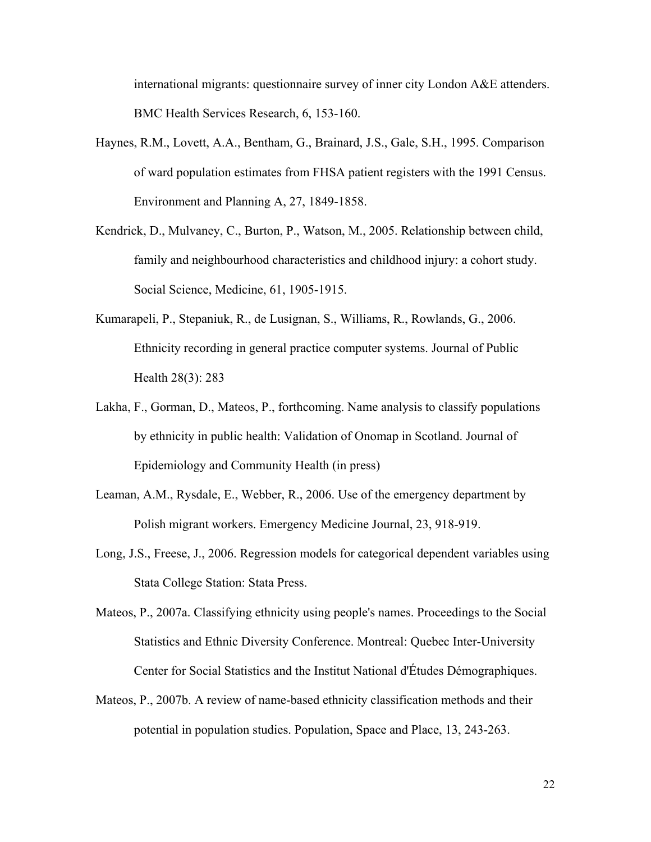international migrants: questionnaire survey of inner city London A&E attenders. BMC Health Services Research, 6, 153-160.

- Haynes, R.M., Lovett, A.A., Bentham, G., Brainard, J.S., Gale, S.H., 1995. Comparison of ward population estimates from FHSA patient registers with the 1991 Census. Environment and Planning A, 27, 1849-1858.
- Kendrick, D., Mulvaney, C., Burton, P., Watson, M., 2005. Relationship between child, family and neighbourhood characteristics and childhood injury: a cohort study. Social Science, Medicine, 61, 1905-1915.
- Kumarapeli, P., Stepaniuk, R., de Lusignan, S., Williams, R., Rowlands, G., 2006. Ethnicity recording in general practice computer systems. Journal of Public Health 28(3): 283
- Lakha, F., Gorman, D., Mateos, P., forthcoming. Name analysis to classify populations by ethnicity in public health: Validation of Onomap in Scotland. Journal of Epidemiology and Community Health (in press)
- Leaman, A.M., Rysdale, E., Webber, R., 2006. Use of the emergency department by Polish migrant workers. Emergency Medicine Journal, 23, 918-919.
- Long, J.S., Freese, J., 2006. Regression models for categorical dependent variables using Stata College Station: Stata Press.

Mateos, P., 2007a. Classifying ethnicity using people's names. Proceedings to the Social Statistics and Ethnic Diversity Conference. Montreal: Quebec Inter-University Center for Social Statistics and the Institut National d'Études Démographiques.

Mateos, P., 2007b. A review of name-based ethnicity classification methods and their potential in population studies. Population, Space and Place, 13, 243-263.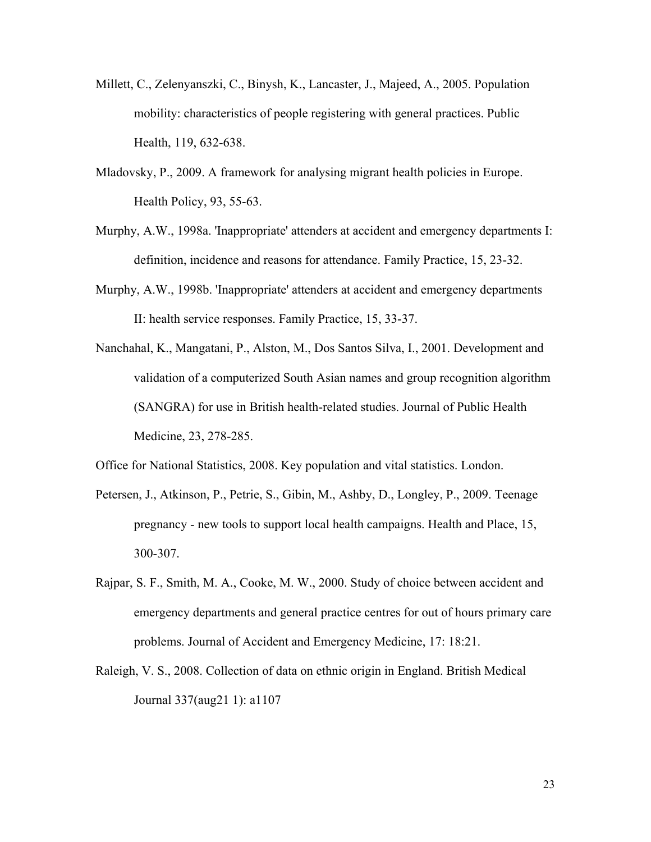- Millett, C., Zelenyanszki, C., Binysh, K., Lancaster, J., Majeed, A., 2005. Population mobility: characteristics of people registering with general practices. Public Health, 119, 632-638.
- Mladovsky, P., 2009. A framework for analysing migrant health policies in Europe. Health Policy, 93, 55-63.
- Murphy, A.W., 1998a. 'Inappropriate' attenders at accident and emergency departments I: definition, incidence and reasons for attendance. Family Practice, 15, 23-32.
- Murphy, A.W., 1998b. 'Inappropriate' attenders at accident and emergency departments II: health service responses. Family Practice, 15, 33-37.
- Nanchahal, K., Mangatani, P., Alston, M., Dos Santos Silva, I., 2001. Development and validation of a computerized South Asian names and group recognition algorithm (SANGRA) for use in British health-related studies. Journal of Public Health Medicine, 23, 278-285.

Office for National Statistics, 2008. Key population and vital statistics. London.

- Petersen, J., Atkinson, P., Petrie, S., Gibin, M., Ashby, D., Longley, P., 2009. Teenage pregnancy - new tools to support local health campaigns. Health and Place, 15, 300-307.
- Rajpar, S. F., Smith, M. A., Cooke, M. W., 2000. Study of choice between accident and emergency departments and general practice centres for out of hours primary care problems. Journal of Accident and Emergency Medicine, 17: 18:21.
- Raleigh, V. S., 2008. Collection of data on ethnic origin in England. British Medical Journal 337(aug21 1): a1107